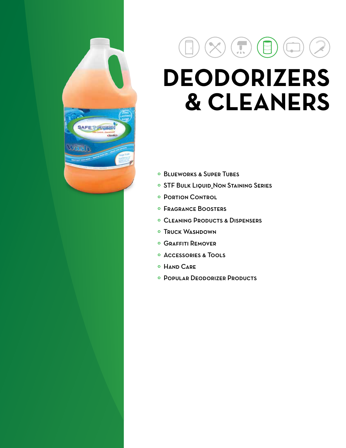# SAFETEREEM

# $\left( \begin{matrix} \text{1} \\ \text{2} \end{matrix} \right)$  $\vert \mathbf{r} \vert$ **DEODORIZERS & CLEANERS**

- º Blueworks & Super Tubes
- º STF Bulk Liquid\_Non Staining Series
- º Portion Control
- º Fragrance Boosters
- º Cleaning Products & Dispensers
- º Truck Washdown
- º Graffiti Remover
- º Accessories & Tools
- º Hand Care
- º Popular Deodorizer Products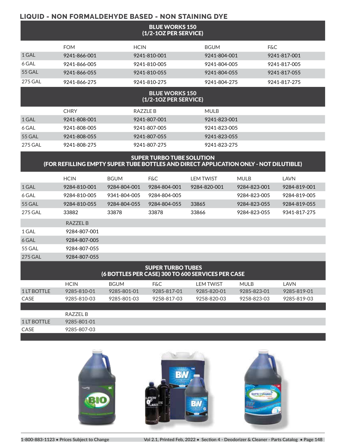### **LIQUID - NON FORMALDEHYDE BASED - NON STAINING DYE**

| <b>BLUE WORKS 150</b><br>(1/2-1OZ PER SERVICE)                                                                           |              |              |                              |                  |              |                |  |  |
|--------------------------------------------------------------------------------------------------------------------------|--------------|--------------|------------------------------|------------------|--------------|----------------|--|--|
|                                                                                                                          | <b>FOM</b>   | <b>HCIN</b>  |                              | <b>BGUM</b>      |              | <b>F&amp;C</b> |  |  |
| 1 GAL                                                                                                                    | 9241-866-001 |              | 9241-810-001                 | 9241-804-001     |              | 9241-817-001   |  |  |
| 6 GAL                                                                                                                    | 9241-866-005 |              | 9241-810-005                 | 9241-804-005     |              | 9241-817-005   |  |  |
| <b>55 GAL</b>                                                                                                            | 9241-866-055 |              | 9241-810-055                 | 9241-804-055     |              | 9241-817-055   |  |  |
| <b>275 GAL</b>                                                                                                           | 9241-866-275 |              | 9241-810-275                 | 9241-804-275     |              | 9241-817-275   |  |  |
| <b>BLUE WORKS 150</b><br>(1/2-1OZ PER SERVICE)                                                                           |              |              |                              |                  |              |                |  |  |
|                                                                                                                          | <b>CHRY</b>  |              | <b>RAZZLE B</b>              | <b>MULB</b>      |              |                |  |  |
| 1 GAL                                                                                                                    | 9241-808-001 |              | 9241-807-001                 | 9241-823-001     |              |                |  |  |
| 6 GAL                                                                                                                    | 9241-808-005 |              | 9241-807-005                 | 9241-823-005     |              |                |  |  |
| <b>55 GAL</b>                                                                                                            | 9241-808-055 |              | 9241-807-055<br>9241-823-055 |                  |              |                |  |  |
| <b>275 GAL</b>                                                                                                           | 9241-808-275 |              | 9241-807-275                 | 9241-823-275     |              |                |  |  |
| <b>SUPER TURBO TUBE SOLUTION</b><br>(FOR REFILLING EMPTY SUPER TUBE BOTTLES AND DIRECT APPLICATION ONLY - NOT DILUTIBLE) |              |              |                              |                  |              |                |  |  |
|                                                                                                                          | <b>HCIN</b>  | <b>BGUM</b>  | <b>F&amp;C</b>               | <b>LEM TWIST</b> | <b>MULB</b>  | LAVN           |  |  |
| 1 GAL                                                                                                                    | 9284-810-001 | 9284-804-001 | 9284-804-001                 | 9284-820-001     | 9284-823-001 | 9284-819-001   |  |  |
| 6 GAL                                                                                                                    | 9284-810-005 | 9341-804-005 | 9284-804-005                 |                  | 9284-823-005 | 9284-819-005   |  |  |

|                                                                               | RAZZEL B     |             |                |             |             |             |  |  |  |
|-------------------------------------------------------------------------------|--------------|-------------|----------------|-------------|-------------|-------------|--|--|--|
| 1 GAL                                                                         | 9284-807-001 |             |                |             |             |             |  |  |  |
| 6 GAL                                                                         | 9284-807-005 |             |                |             |             |             |  |  |  |
| <b>55 GAL</b>                                                                 | 9284-807-055 |             |                |             |             |             |  |  |  |
| <b>275 GAL</b>                                                                | 9284-807-055 |             |                |             |             |             |  |  |  |
| <b>SUPER TURBO TUBES</b><br>(6 BOTTLES PER CASE) 300 TO 600 SERVICES PER CASE |              |             |                |             |             |             |  |  |  |
|                                                                               | <b>HCIN</b>  | <b>BGUM</b> | <b>F&amp;C</b> | LEM TWIST   | MUI B       | LAVN        |  |  |  |
| 1 LT BOTTLE                                                                   | 9285-810-01  | 9285-801-01 | 9285-817-01    | 9285-820-01 | 9285-823-01 | 9285-819-01 |  |  |  |
| <b>CASE</b>                                                                   | 9285-810-03  | 9285-801-03 | 9258-817-03    | 9258-820-03 | 9258-823-03 | 9285-819-03 |  |  |  |
|                                                                               |              |             |                |             |             |             |  |  |  |

55 GAL 9284-810-055 9284-804-055 9284-804-055 33865 9284-823-055 9284-819-055 275 GAL 33882 33878 33878 33866 9284-823-055 9341-817-275

|             | RA77FI R    |  |  |  |
|-------------|-------------|--|--|--|
| 1 LT BOTTLE | 9285-801-01 |  |  |  |
| CASE        | 9285-807-03 |  |  |  |
|             |             |  |  |  |



**1-800-883-1123 • Prices Subject to Change Vol 2.1, Printed Feb, 2022 • Section 4 - Deodorizer & Cleaner - Parts Catalog • Page 148**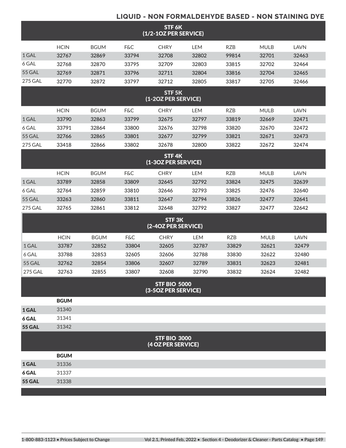### **LIQUID - NON FORMALDEHYDE BASED - NON STAINING DYE**

|                                            | STF 6K<br>(1/2-1OZ PER SERVICE) |             |                |                                           |            |            |             |             |  |
|--------------------------------------------|---------------------------------|-------------|----------------|-------------------------------------------|------------|------------|-------------|-------------|--|
|                                            | <b>HCIN</b>                     | <b>BGUM</b> | <b>F&amp;C</b> | <b>CHRY</b>                               | <b>LEM</b> | <b>RZB</b> | <b>MULB</b> | <b>LAVN</b> |  |
| 1 GAL                                      | 32767                           | 32869       | 33794          | 32708                                     | 32802      | 99814      | 32701       | 32463       |  |
| 6 GAL                                      | 32768                           | 32870       | 33795          | 32709                                     | 32803      | 33815      | 32702       | 32464       |  |
| <b>55 GAL</b>                              | 32769                           | 32871       | 33796          | 32711                                     | 32804      | 33816      | 32704       | 32465       |  |
| <b>275 GAL</b>                             | 32770                           | 32872       | 33797          | 32712                                     | 32805      | 33817      | 32705       | 32466       |  |
|                                            |                                 |             |                | STF <sub>5K</sub><br>(1-2OZ PER SERVICE)  |            |            |             |             |  |
|                                            | <b>HCIN</b>                     | <b>BGUM</b> | <b>F&amp;C</b> | <b>CHRY</b>                               | <b>LEM</b> | <b>RZB</b> | <b>MULB</b> | <b>LAVN</b> |  |
| 1 GAL                                      | 33790                           | 32863       | 33799          | 32675                                     | 32797      | 33819      | 32669       | 32471       |  |
| 6 GAL                                      | 33791                           | 32864       | 33800          | 32676                                     | 32798      | 33820      | 32670       | 32472       |  |
| 55 GAL                                     | 32766                           | 32865       | 33801          | 32677                                     | 32799      | 33821      | 32671       | 32473       |  |
| <b>275 GAL</b>                             | 33418                           | 32866       | 33802          | 32678                                     | 32800      | 33822      | 32672       | 32474       |  |
| STF <sub>4K</sub><br>(1-3OZ PER SERVICE)   |                                 |             |                |                                           |            |            |             |             |  |
|                                            | <b>HCIN</b>                     | <b>BGUM</b> | <b>F&amp;C</b> | <b>CHRY</b>                               | <b>LEM</b> | <b>RZB</b> | <b>MULB</b> | <b>LAVN</b> |  |
| 1 GAL                                      | 33789                           | 32858       | 33809          | 32645                                     | 32792      | 33824      | 32475       | 32639       |  |
| 6 GAL                                      | 32764                           | 32859       | 33810          | 32646                                     | 32793      | 33825      | 32476       | 32640       |  |
| 55 GAL                                     | 33263                           | 32860       | 33811          | 32647                                     | 32794      | 33826      | 32477       | 32641       |  |
| <b>275 GAL</b>                             | 32765                           | 32861       | 33812          | 32648                                     | 32792      | 33827      | 32477       | 32642       |  |
|                                            |                                 |             |                | STF <sub>3K</sub><br>(2-4OZ PER SERVICE)  |            |            |             |             |  |
|                                            | <b>HCIN</b>                     | <b>BGUM</b> | <b>F&amp;C</b> | <b>CHRY</b>                               | <b>LEM</b> | <b>RZB</b> | <b>MULB</b> | <b>LAVN</b> |  |
| 1 GAL                                      | 33787                           | 32852       | 33804          | 32605                                     | 32787      | 33829      | 32621       | 32479       |  |
| 6 GAL                                      | 33788                           | 32853       | 32605          | 32606                                     | 32788      | 33830      | 32622       | 32480       |  |
| 55 GAL                                     | 32762                           | 32854       | 33806          | 32607                                     | 32789      | 33831      | 32623       | 32481       |  |
| <b>275 GAL</b>                             | 32763                           | 32855       | 33807          | 32608                                     | 32790      | 33832      | 32624       | 32482       |  |
| <b>STF BIO 5000</b><br>(3-5OZ PER SERVICE) |                                 |             |                |                                           |            |            |             |             |  |
|                                            | <b>BGUM</b>                     |             |                |                                           |            |            |             |             |  |
| 1 GAL                                      | 31340                           |             |                |                                           |            |            |             |             |  |
| 6 GAL                                      | 31341                           |             |                |                                           |            |            |             |             |  |
| <b>55 GAL</b>                              | 31342                           |             |                |                                           |            |            |             |             |  |
|                                            |                                 |             |                | <b>STF BIO 3000</b><br>(4 OZ PER SERVICE) |            |            |             |             |  |
|                                            | <b>BGUM</b>                     |             |                |                                           |            |            |             |             |  |
| 1 GAL                                      | 31336                           |             |                |                                           |            |            |             |             |  |
| 6 GAL                                      | 31337                           |             |                |                                           |            |            |             |             |  |
| <b>55 GAL</b>                              | 31338                           |             |                |                                           |            |            |             |             |  |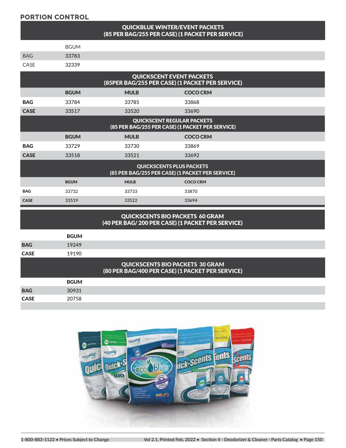### **PORTION CONTROL**

### QUICKBLUE WINTER/EVENT PACKETS (85 PER BAG/255 PER CASE) (1 PACKET PER SERVICE)

|             | <b>BGUM</b> |
|-------------|-------------|
| <b>BAG</b>  | 33783       |
| <b>CASE</b> | 32339       |

| <b>QUICKSCENT EVENT PACKETS</b><br>(85PER BAG/255 PER CASE) (1 PACKET PER SERVICE)    |             |             |                 |  |  |  |  |
|---------------------------------------------------------------------------------------|-------------|-------------|-----------------|--|--|--|--|
|                                                                                       | <b>BGUM</b> | <b>MULB</b> | <b>COCO CRM</b> |  |  |  |  |
| <b>BAG</b>                                                                            | 33784       | 33785       | 33868           |  |  |  |  |
| <b>CASE</b>                                                                           | 33517       | 33520       | 33690           |  |  |  |  |
| <b>QUICKSCENT REGULAR PACKETS</b><br>(85 PER BAG/255 PER CASE) (1 PACKET PER SERVICE) |             |             |                 |  |  |  |  |
|                                                                                       | <b>BGUM</b> | <b>MULB</b> | <b>COCO CRM</b> |  |  |  |  |
| <b>BAG</b>                                                                            | 33729       | 33730       | 33869           |  |  |  |  |
| <b>CASE</b>                                                                           | 33518       | 33521       | 33692           |  |  |  |  |
| <b>QUICKSCENTS PLUS PACKETS</b><br>(85 PER BAG/255 PER CASE) (1 PACKET PER SERVICE)   |             |             |                 |  |  |  |  |
|                                                                                       | <b>BGUM</b> | <b>MULB</b> | <b>COCO CRM</b> |  |  |  |  |
| <b>BAG</b>                                                                            | 33732       | 33733       | 33870           |  |  |  |  |
| <b>CASE</b>                                                                           | 33519       | 33522       | 33694           |  |  |  |  |

### QUICKSCENTS BIO PACKETS 60 GRAM (40 PER BAG/ 200 PER CASE) (1 PACKET PER SERVICE)

|             | <b>BGUM</b> |                                                                                            |
|-------------|-------------|--------------------------------------------------------------------------------------------|
| <b>BAG</b>  | 19249       |                                                                                            |
| <b>CASE</b> | 19190       |                                                                                            |
|             |             | <b>QUICKSCENTS BIO PACKETS 30 GRAM</b><br>(80 PER BAG/400 PER CASE) (1 PACKET PER SERVICE) |
|             | <b>BGUM</b> |                                                                                            |
| <b>BAG</b>  | 30931       |                                                                                            |
| <b>CASE</b> | 20758       |                                                                                            |
|             |             |                                                                                            |

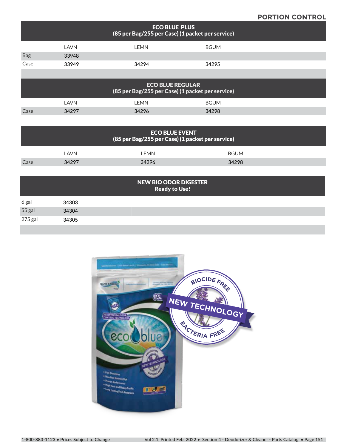### **PORTION CONTROL**

|            | <b>ECO BLUE PLUS</b><br>(85 per Bag/255 per Case) (1 packet per service)    |       |             |  |  |  |  |  |  |
|------------|-----------------------------------------------------------------------------|-------|-------------|--|--|--|--|--|--|
|            | LAVN                                                                        | LEMN  | <b>BGUM</b> |  |  |  |  |  |  |
| <b>Bag</b> | 33948                                                                       |       |             |  |  |  |  |  |  |
| Case       | 33949                                                                       | 34294 | 34295       |  |  |  |  |  |  |
|            |                                                                             |       |             |  |  |  |  |  |  |
|            | <b>ECO BLUE REGULAR</b><br>(85 per Bag/255 per Case) (1 packet per service) |       |             |  |  |  |  |  |  |
|            | LAVN                                                                        | LEMN  | <b>BGUM</b> |  |  |  |  |  |  |

| <b>ECO BLUE EVENT</b><br>(85 per Bag/255 per Case) (1 packet per service) |                                                      |                      |                      |  |  |  |  |  |  |
|---------------------------------------------------------------------------|------------------------------------------------------|----------------------|----------------------|--|--|--|--|--|--|
| Case                                                                      | <b>LAVN</b><br>34297                                 | <b>LEMN</b><br>34296 | <b>BGUM</b><br>34298 |  |  |  |  |  |  |
|                                                                           | <b>NEW BIO ODOR DIGESTER</b><br><b>Ready to Use!</b> |                      |                      |  |  |  |  |  |  |

Case 34297 34296 34298

| 6 gal   | 34303 |  |  |
|---------|-------|--|--|
| 55 gal  | 34304 |  |  |
| 275 gal | 34305 |  |  |
|         |       |  |  |

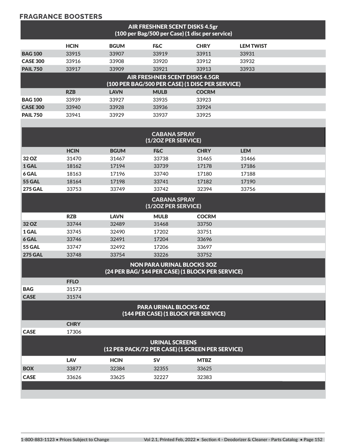### **FRAGRANCE BOOSTERS**

| AIR FRESHNER SCENT DISKS 4.5gr<br>(100 per Bag/500 per Case) (1 disc per service) |             |             |                                                                       |                                                  |                  |  |
|-----------------------------------------------------------------------------------|-------------|-------------|-----------------------------------------------------------------------|--------------------------------------------------|------------------|--|
|                                                                                   | <b>HCIN</b> | <b>BGUM</b> | <b>F&amp;C</b>                                                        | <b>CHRY</b>                                      | <b>LEM TWIST</b> |  |
| <b>BAG 100</b>                                                                    | 33915       | 33907       | 33919                                                                 | 33911                                            | 33931            |  |
| <b>CASE 300</b>                                                                   | 33916       | 33908       | 33920                                                                 | 33912                                            | 33932            |  |
| <b>PAIL 750</b>                                                                   | 33917       | 33909       | 33921                                                                 | 33913                                            | 33933            |  |
|                                                                                   |             |             | <b>AIR FRESHNER SCENT DISKS 4.5GR</b>                                 | (100 PER BAG/500 PER CASE) (1 DISC PER SERVICE)  |                  |  |
|                                                                                   | <b>RZB</b>  | <b>LAVN</b> | <b>MULB</b>                                                           | <b>COCRM</b>                                     |                  |  |
| <b>BAG 100</b>                                                                    | 33939       | 33927       | 33935                                                                 | 33923                                            |                  |  |
| <b>CASE 300</b>                                                                   | 33940       | 33928       | 33936                                                                 | 33924                                            |                  |  |
| <b>PAIL 750</b>                                                                   | 33941       | 33929       | 33937                                                                 | 33925                                            |                  |  |
|                                                                                   |             |             |                                                                       |                                                  |                  |  |
|                                                                                   |             |             | <b>CABANA SPRAY</b><br>(1/2OZ PER SERVICE)                            |                                                  |                  |  |
|                                                                                   | <b>HCIN</b> | <b>BGUM</b> | <b>F&amp;C</b>                                                        | <b>CHRY</b>                                      | <b>LEM</b>       |  |
| 32 OZ                                                                             | 31470       | 31467       | 33738                                                                 | 31465                                            | 31466            |  |
| 1 GAL                                                                             | 18162       | 17194       | 33739                                                                 | 17178                                            | 17186            |  |
| 6 GAL                                                                             | 18163       | 17196       | 33740                                                                 | 17180                                            | 17188            |  |
| <b>55 GAL</b>                                                                     | 18164       | 17198       | 33741                                                                 | 17182                                            | 17190            |  |
| <b>275 GAL</b>                                                                    | 33753       | 33749       | 33742                                                                 | 32394                                            | 33756            |  |
|                                                                                   |             |             | <b>CABANA SPRAY</b><br>(1/2OZ PER SERVICE)                            |                                                  |                  |  |
|                                                                                   | <b>RZB</b>  | <b>LAVN</b> | <b>MULB</b>                                                           | <b>COCRM</b>                                     |                  |  |
| 32 OZ                                                                             | 33744       | 32489       | 31468                                                                 | 33750                                            |                  |  |
| 1 GAL                                                                             | 33745       | 32490       | 17202                                                                 | 33751                                            |                  |  |
| 6 GAL                                                                             | 33746       | 32491       | 17204                                                                 | 33696                                            |                  |  |
| <b>55 GAL</b>                                                                     | 33747       | 32492       | 17206                                                                 | 33697                                            |                  |  |
| <b>275 GAL</b>                                                                    | 33748       | 33754       | 33226                                                                 | 33752                                            |                  |  |
|                                                                                   |             |             | <b>NON PARA URINAL BLOCKS 3OZ</b>                                     | (24 PER BAG/ 144 PER CASE) (1 BLOCK PER SERVICE) |                  |  |
|                                                                                   | <b>FFLO</b> |             |                                                                       |                                                  |                  |  |
| <b>BAG</b>                                                                        | 31573       |             |                                                                       |                                                  |                  |  |
| <b>CASE</b>                                                                       | 31574       |             |                                                                       |                                                  |                  |  |
|                                                                                   |             |             | <b>PARA URINAL BLOCKS 40Z</b><br>(144 PER CASE) (1 BLOCK PER SERVICE) |                                                  |                  |  |
|                                                                                   | <b>CHRY</b> |             |                                                                       |                                                  |                  |  |
| <b>CASE</b>                                                                       | 17306       |             |                                                                       |                                                  |                  |  |
|                                                                                   |             |             | <b>URINAL SCREENS</b>                                                 | (12 PER PACK/72 PER CASE) (1 SCREEN PER SERVICE) |                  |  |
|                                                                                   | <b>LAV</b>  | <b>HCIN</b> | <b>SV</b>                                                             | <b>MTBZ</b>                                      |                  |  |
| <b>BOX</b>                                                                        | 33877       | 32384       | 32355                                                                 | 33625                                            |                  |  |
| <b>CASE</b>                                                                       | 33626       | 33625       | 32227                                                                 | 32383                                            |                  |  |
|                                                                                   |             |             |                                                                       |                                                  |                  |  |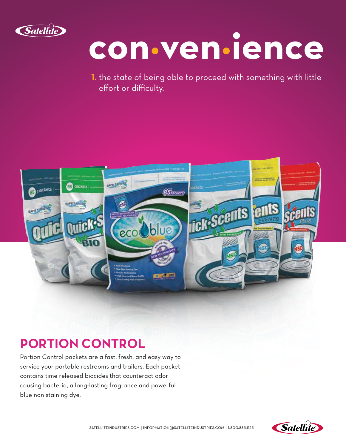

# **con·ven·ience**

**1.** the state of being able to proceed with something with little effort or difficulty.



## **PORTION CONTROL**

Portion Control packets are a fast, fresh, and easy way to service your portable restrooms and trailers. Each packet contains time released biocides that counteract odor causing bacteria, a long-lasting fragrance and powerful blue non staining dye.

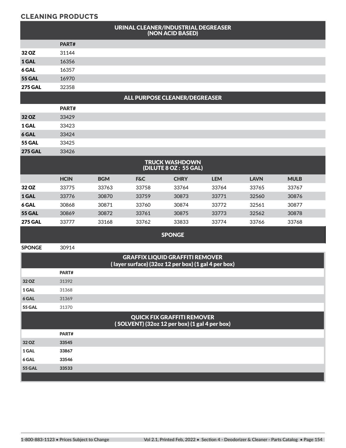### **CLEANING PRODUCTS**

|                |             |            | URINAL CLEANER/INDUSTRIAL DEGREASER                                                           | (NON ACID BASED)                               |            |             |             |
|----------------|-------------|------------|-----------------------------------------------------------------------------------------------|------------------------------------------------|------------|-------------|-------------|
|                | PART#       |            |                                                                                               |                                                |            |             |             |
| 32 OZ          | 31144       |            |                                                                                               |                                                |            |             |             |
| 1 GAL          | 16356       |            |                                                                                               |                                                |            |             |             |
| 6 GAL          | 16357       |            |                                                                                               |                                                |            |             |             |
| <b>55 GAL</b>  | 16970       |            |                                                                                               |                                                |            |             |             |
| <b>275 GAL</b> | 32358       |            |                                                                                               |                                                |            |             |             |
|                |             |            | <b>ALL PURPOSE CLEANER/DEGREASER</b>                                                          |                                                |            |             |             |
|                | PART#       |            |                                                                                               |                                                |            |             |             |
| 32 OZ          | 33429       |            |                                                                                               |                                                |            |             |             |
| 1 GAL          | 33423       |            |                                                                                               |                                                |            |             |             |
| 6 GAL          | 33424       |            |                                                                                               |                                                |            |             |             |
| <b>55 GAL</b>  | 33425       |            |                                                                                               |                                                |            |             |             |
| <b>275 GAL</b> | 33426       |            |                                                                                               |                                                |            |             |             |
|                |             |            |                                                                                               | <b>TRUCK WASHDOWN</b><br>(DILUTE 8 OZ: 55 GAL) |            |             |             |
|                | <b>HCIN</b> | <b>BGM</b> | <b>F&amp;C</b>                                                                                | <b>CHRY</b>                                    | <b>LEM</b> | <b>LAVN</b> | <b>MULB</b> |
| 32 OZ          | 33775       | 33763      | 33758                                                                                         | 33764                                          | 33764      | 33765       | 33767       |
| 1 GAL          | 33776       | 30870      | 33759                                                                                         | 30873                                          | 33771      | 32560       | 30876       |
| 6 GAL          | 30868       | 30871      | 33760                                                                                         | 30874                                          | 33772      | 32561       | 30877       |
| <b>55 GAL</b>  | 30869       | 30872      | 33761                                                                                         | 30875                                          | 33773      | 32562       | 30878       |
| <b>275 GAL</b> | 33777       | 33168      | 33762                                                                                         | 33833                                          | 33774      | 33766       | 33768       |
|                |             |            |                                                                                               | <b>SPONGE</b>                                  |            |             |             |
| <b>SPONGE</b>  | 30914       |            |                                                                                               |                                                |            |             |             |
|                |             |            | <b>GRAFFIX LIQUID GRAFFITI REMOVER</b><br>(layer surface) (32oz 12 per box) (1 gal 4 per box) |                                                |            |             |             |
|                | PART#       |            |                                                                                               |                                                |            |             |             |
| 32 OZ          | 31392       |            |                                                                                               |                                                |            |             |             |
| 1 GAL          | 31368       |            |                                                                                               |                                                |            |             |             |
| 6 GAL          | 31369       |            |                                                                                               |                                                |            |             |             |
| 55 GAL         | 31370       |            |                                                                                               |                                                |            |             |             |
|                |             |            | <b>QUICK FIX GRAFFITI REMOVER</b><br>(SOLVENT) (32oz 12 per box) (1 gal 4 per box)            |                                                |            |             |             |
|                | PART#       |            |                                                                                               |                                                |            |             |             |
| 32 OZ          | 33545       |            |                                                                                               |                                                |            |             |             |
| 1 GAL          | 33867       |            |                                                                                               |                                                |            |             |             |
| 6 GAL          | 33546       |            |                                                                                               |                                                |            |             |             |
| <b>55 GAL</b>  | 33533       |            |                                                                                               |                                                |            |             |             |

and the company of the company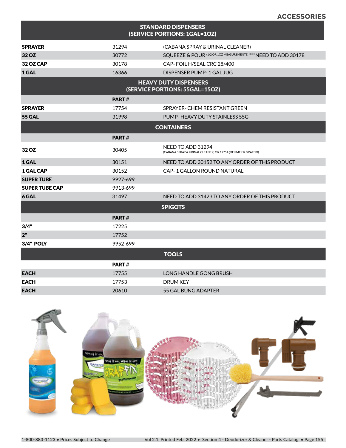| <b>STANDARD DISPENSERS</b><br>(SERVICE PORTIONS: 1GAL=1OZ)     |              |                                                                                   |  |  |  |  |
|----------------------------------------------------------------|--------------|-----------------------------------------------------------------------------------|--|--|--|--|
| <b>SPRAYER</b>                                                 | 31294        | (CABANA SPRAY & URINAL CLEANER)                                                   |  |  |  |  |
| 32 OZ                                                          | 30772        | SQUEEZE & POUR (1/2 OR 10Z MEASUREMENTS) *** NEED TO ADD 30178                    |  |  |  |  |
| 32 OZ CAP                                                      | 30178        | CAP-FOIL H/SEAL CRC 28/400                                                        |  |  |  |  |
| 1 GAL                                                          | 16366        | DISPENSER PUMP-1 GAL JUG                                                          |  |  |  |  |
| <b>HEAVY DUTY DISPENSERS</b><br>(SERVICE PORTIONS: 55GAL=15OZ) |              |                                                                                   |  |  |  |  |
| <b>PART#</b>                                                   |              |                                                                                   |  |  |  |  |
| <b>SPRAYER</b>                                                 | 17754        | SPRAYER- CHEM RESISTANT GREEN                                                     |  |  |  |  |
| <b>55 GAL</b>                                                  | 31998        | PUMP-HEAVY DUTY STAINLESS 55G                                                     |  |  |  |  |
| <b>CONTAINERS</b>                                              |              |                                                                                   |  |  |  |  |
|                                                                | <b>PART#</b> |                                                                                   |  |  |  |  |
| 32 OZ                                                          | 30405        | NEED TO ADD 31294<br>(CABANA SPRAY & URINAL CLEANER) OR 17754 (DELIMER & GRAFFIX) |  |  |  |  |
| 1 GAL                                                          | 30151        | NEED TO ADD 30152 TO ANY ORDER OF THIS PRODUCT                                    |  |  |  |  |
| <b>1 GAL CAP</b>                                               | 30152        | CAP-1 GALLON ROUND NATURAL                                                        |  |  |  |  |
| <b>SUPER TUBE</b>                                              | 9927-699     |                                                                                   |  |  |  |  |
| <b>SUPER TUBE CAP</b>                                          | 9913-699     |                                                                                   |  |  |  |  |
| 6 GAL                                                          | 31497        | NEED TO ADD 31423 TO ANY ORDER OF THIS PRODUCT                                    |  |  |  |  |
|                                                                |              | <b>SPIGOTS</b>                                                                    |  |  |  |  |
|                                                                | PART#        |                                                                                   |  |  |  |  |
| 3/4"                                                           | 17225        |                                                                                   |  |  |  |  |
| 2"                                                             | 17752        |                                                                                   |  |  |  |  |
| <b>3/4" POLY</b>                                               | 9952-699     |                                                                                   |  |  |  |  |
|                                                                |              | <b>TOOLS</b>                                                                      |  |  |  |  |
|                                                                | <b>PART#</b> |                                                                                   |  |  |  |  |
| <b>EACH</b>                                                    | 17755        | LONG HANDLE GONG BRUSH                                                            |  |  |  |  |
| <b>EACH</b>                                                    | 17753        | <b>DRUM KEY</b>                                                                   |  |  |  |  |
| <b>EACH</b>                                                    | 20610        | 55 GAL BUNG ADAPTER                                                               |  |  |  |  |



**ACCESSORIES**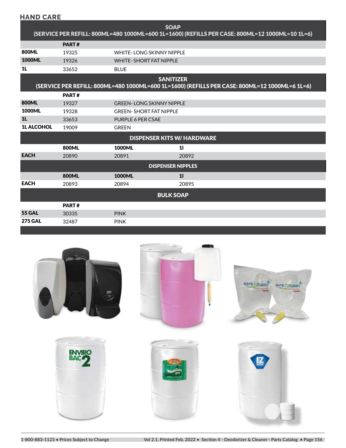| <b>HAND CARE</b>                                                                                                  |              |                                   |       |  |  |  |
|-------------------------------------------------------------------------------------------------------------------|--------------|-----------------------------------|-------|--|--|--|
| <b>SOAP</b><br>(SERVICE PER REFILL: 800ML=480 1000ML=600 1L=1600) (REFILLS PER CASE: 800ML=12 1000ML=10 1L=6)     |              |                                   |       |  |  |  |
|                                                                                                                   | PART#        |                                   |       |  |  |  |
| <b>800ML</b>                                                                                                      | 19325        | <b>WHITE-LONG SKINNY NIPPLE</b>   |       |  |  |  |
| <b>1000ML</b>                                                                                                     | 19326        | <b>WHITE- SHORT FAT NIPPLE</b>    |       |  |  |  |
| 1 <sub>L</sub>                                                                                                    | 33652        | <b>BLUE</b>                       |       |  |  |  |
| <b>SANITIZER</b><br>(SERVICE PER REFILL: 800ML=480 1000ML=600 1L=1600) (REFILLS PER CASE: 800ML=12 1000ML=6 1L=6) |              |                                   |       |  |  |  |
|                                                                                                                   | PART#        |                                   |       |  |  |  |
| 800ML                                                                                                             | 19327        | <b>GREEN-LONG SKINNY NIPPLE</b>   |       |  |  |  |
| <b>1000ML</b>                                                                                                     | 19328        | <b>GREEN- SHORT FAT NIPPLE</b>    |       |  |  |  |
| 1 <sub>L</sub>                                                                                                    | 33653        | PURPLE 6 PER CSAE                 |       |  |  |  |
| <b>1L ALCOHOL</b>                                                                                                 | 19009        | <b>GREEN</b>                      |       |  |  |  |
|                                                                                                                   |              | <b>DISPENSER KITS W/ HARDWARE</b> |       |  |  |  |
|                                                                                                                   | <b>800ML</b> | <b>1000ML</b>                     | 11    |  |  |  |
| <b>EACH</b>                                                                                                       | 20890        | 20891                             | 20892 |  |  |  |
| <b>DISPENSER NIPPLES</b>                                                                                          |              |                                   |       |  |  |  |
|                                                                                                                   | 800ML        | <b>1000ML</b>                     | 11    |  |  |  |
| <b>EACH</b>                                                                                                       | 20893        | 20894                             | 20895 |  |  |  |
| <b>BULK SOAP</b>                                                                                                  |              |                                   |       |  |  |  |
|                                                                                                                   | PART#        |                                   |       |  |  |  |
| <b>55 GAL</b>                                                                                                     | 30335        | <b>PINK</b>                       |       |  |  |  |
| <b>275 GAL</b>                                                                                                    | 32487        | <b>PINK</b>                       |       |  |  |  |

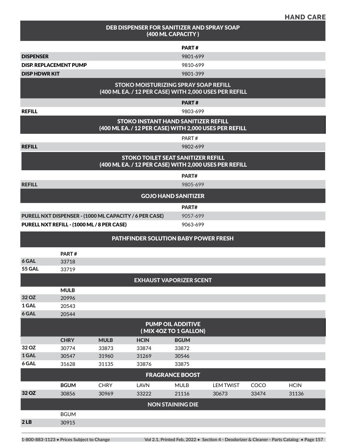| <b>HAND CARE</b> |
|------------------|
|------------------|

|                      |                               |                                            |                                                        | (400 ML CAPACITY)                                 | DEB DISPENSER FOR SANITIZER AND SPRAY SOAP            |       |             |
|----------------------|-------------------------------|--------------------------------------------|--------------------------------------------------------|---------------------------------------------------|-------------------------------------------------------|-------|-------------|
|                      |                               |                                            |                                                        | PART#                                             |                                                       |       |             |
| <b>DISPENSER</b>     |                               |                                            |                                                        | 9801-699                                          |                                                       |       |             |
|                      | <b>DISP. REPLACEMENT PUMP</b> |                                            |                                                        | 9810-699                                          |                                                       |       |             |
| <b>DISP HDWR KIT</b> |                               |                                            |                                                        | 9801-399                                          |                                                       |       |             |
|                      |                               |                                            | <b>STOKO MOISTURIZING SPRAY SOAP REFILL</b>            |                                                   | (400 ML EA. / 12 PER CASE) WITH 2,000 USES PER REFILL |       |             |
|                      |                               |                                            |                                                        | PART#                                             |                                                       |       |             |
| <b>REFILL</b>        |                               |                                            |                                                        | 9803-699                                          |                                                       |       |             |
|                      |                               |                                            | <b>STOKO INSTANT HAND SANITIZER REFILL</b>             |                                                   | (400 ML EA. / 12 PER CASE) WITH 2,000 USES PER REFILL |       |             |
|                      |                               |                                            |                                                        | PART#                                             |                                                       |       |             |
| <b>REFILL</b>        |                               |                                            |                                                        | 9802-699                                          |                                                       |       |             |
|                      |                               |                                            | <b>STOKO TOILET SEAT SANITIZER REFILL</b>              |                                                   | (400 ML EA. / 12 PER CASE) WITH 2,000 USES PER REFILL |       |             |
|                      |                               |                                            |                                                        | PART#                                             |                                                       |       |             |
| <b>REFILL</b>        |                               |                                            |                                                        | 9805-699                                          |                                                       |       |             |
|                      |                               |                                            |                                                        | <b>GOJO HAND SANITIZER</b>                        |                                                       |       |             |
|                      |                               |                                            |                                                        | PART#                                             |                                                       |       |             |
|                      |                               |                                            | PURELL NXT DISPENSER - (1000 ML CAPACITY / 6 PER CASE) | 9057-699                                          |                                                       |       |             |
|                      |                               | PURELL NXT REFILL - (1000 ML / 8 PER CASE) |                                                        | 9063-699                                          |                                                       |       |             |
|                      |                               |                                            | <b>PATHFINDER SOLUTION BABY POWER FRESH</b>            |                                                   |                                                       |       |             |
|                      | PART#                         |                                            |                                                        |                                                   |                                                       |       |             |
| 6 GAL                | 33718                         |                                            |                                                        |                                                   |                                                       |       |             |
| <b>55 GAL</b>        | 33719                         |                                            |                                                        |                                                   |                                                       |       |             |
|                      |                               |                                            |                                                        | <b>EXHAUST VAPORIZER SCENT</b>                    |                                                       |       |             |
|                      | <b>MULB</b>                   |                                            |                                                        |                                                   |                                                       |       |             |
| 32 OZ                | 20996                         |                                            |                                                        |                                                   |                                                       |       |             |
| 1 GAL                | 20543                         |                                            |                                                        |                                                   |                                                       |       |             |
| 6 GAL                | 20544                         |                                            |                                                        |                                                   |                                                       |       |             |
|                      |                               |                                            |                                                        | <b>PUMP OIL ADDITIVE</b><br>(MIX 4OZ TO 1 GALLON) |                                                       |       |             |
|                      | <b>CHRY</b>                   | <b>MULB</b>                                | <b>HCIN</b>                                            | <b>BGUM</b>                                       |                                                       |       |             |
| 32 OZ                | 30774                         | 33873                                      | 33874                                                  | 33872                                             |                                                       |       |             |
| 1 GAL                | 30547                         | 31960                                      | 31269                                                  | 30546                                             |                                                       |       |             |
| 6 GAL                | 31628                         | 31135                                      | 33876                                                  | 33875                                             |                                                       |       |             |
|                      |                               |                                            |                                                        | <b>FRAGRANCE BOOST</b>                            |                                                       |       |             |
|                      | <b>BGUM</b>                   | <b>CHRY</b>                                | <b>LAVN</b>                                            | <b>MULB</b>                                       | <b>LEM TWIST</b>                                      | COCO  | <b>HCIN</b> |
| 32 OZ                | 30856                         | 30969                                      | 33222                                                  | 21116                                             | 30673                                                 | 33474 | 31136       |
|                      |                               |                                            |                                                        | <b>NON STAINING DIE</b>                           |                                                       |       |             |
|                      | <b>BGUM</b>                   |                                            |                                                        |                                                   |                                                       |       |             |
| 2LB                  | 30915                         |                                            |                                                        |                                                   |                                                       |       |             |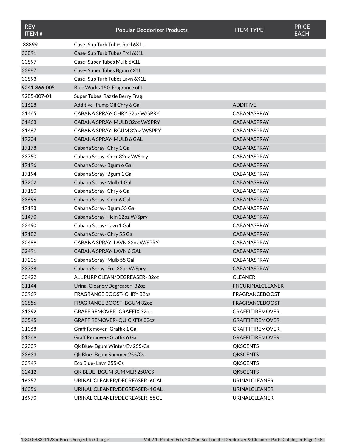| <b>REV</b><br><b>ITEM#</b> | <b>Popular Deodorizer Products</b>  | <b>ITEM TYPE</b>        | <b>PRICE</b><br><b>EACH</b> |
|----------------------------|-------------------------------------|-------------------------|-----------------------------|
| 33899                      | Case-Sup Turb Tubes Razl 6X1L       |                         |                             |
| 33891                      | Case-Sup Turb Tubes Frcl 6X1L       |                         |                             |
| 33897                      | Case-Super Tubes Mulb 6X1L          |                         |                             |
| 33887                      | Case-Super Tubes Bgum 6X1L          |                         |                             |
| 33893                      | Case-Sup Turb Tubes Lavn 6X1L       |                         |                             |
| 9241-866-005               | Blue Works 150 Fragrance of t       |                         |                             |
| 9285-807-01                | Super Tubes Razzle Berry Frag       |                         |                             |
| 31628                      | Additive-Pump Oil Chry 6 Gal        | <b>ADDITIVE</b>         |                             |
| 31465                      | CABANA SPRAY- CHRY 32oz W/SPRY      | <b>CABANASPRAY</b>      |                             |
| 31468                      | CABANA SPRAY- MULB 32oz W/SPRY      | CABANASPRAY             |                             |
| 31467                      | CABANA SPRAY-BGUM 32oz W/SPRY       | <b>CABANASPRAY</b>      |                             |
| 17204                      | CABANA SPRAY- MULB 6 GAL            | <b>CABANASPRAY</b>      |                             |
| 17178                      | Cabana Spray-Chry 1 Gal             | CABANASPRAY             |                             |
| 33750                      | Cabana Spray-Cocr 32oz W/Spry       | <b>CABANASPRAY</b>      |                             |
| 17196                      | Cabana Spray-Bgum 6 Gal             | <b>CABANASPRAY</b>      |                             |
| 17194                      | Cabana Spray-Bgum 1 Gal             | CABANASPRAY             |                             |
| 17202                      | Cabana Spray-Mulb 1 Gal             | CABANASPRAY             |                             |
| 17180                      | Cabana Spray-Chry 6 Gal             | <b>CABANASPRAY</b>      |                             |
| 33696                      | Cabana Spray-Cocr 6 Gal             | CABANASPRAY             |                             |
| 17198                      | Cabana Spray-Bgum 55 Gal            | <b>CABANASPRAY</b>      |                             |
| 31470                      | Cabana Spray-Hcin 32oz W/Spry       | CABANASPRAY             |                             |
| 32490                      | Cabana Spray-Lavn 1 Gal             | <b>CABANASPRAY</b>      |                             |
| 17182                      | Cabana Spray- Chry 55 Gal           | <b>CABANASPRAY</b>      |                             |
| 32489                      | CABANA SPRAY- LAVN 3207 W/SPRY      | <b>CABANASPRAY</b>      |                             |
| 32491                      | CABANA SPRAY-LAVN 6 GAL             | CABANASPRAY             |                             |
| 17206                      | Cabana Spray-Mulb 55 Gal            | <b>CABANASPRAY</b>      |                             |
| 33738                      | Cabana Spray-Frcl 32oz W/Spry       | CABANASPRAY             |                             |
| 33422                      | ALL PURP CLEAN/DEGREASER-32oz       | <b>CLEANER</b>          |                             |
| 31144                      | Urinal Cleaner/Degreaser-32oz       | <b>FNCURINALCLEANER</b> |                             |
| 30969                      | FRAGRANCE BOOST- CHRY 32oz          | <b>FRAGRANCEBOOST</b>   |                             |
| 30856                      | FRAGRANCE BOOST-BGUM 32oz           | <b>FRAGRANCEBOOST</b>   |                             |
| 31392                      | <b>GRAFF REMOVER- GRAFFIX 32oz</b>  | <b>GRAFFITIREMOVER</b>  |                             |
| 33545                      | <b>GRAFF REMOVER- QUICKFIX 32oz</b> | <b>GRAFFITIREMOVER</b>  |                             |
| 31368                      | Graff Remover- Graffix 1 Gal        | <b>GRAFFITIREMOVER</b>  |                             |
| 31369                      | Graff Remover- Graffix 6 Gal        | <b>GRAFFITIREMOVER</b>  |                             |
| 32339                      | Qk Blue-Bgum Winter/Ev 255/Cs       | <b>QKSCENTS</b>         |                             |
| 33633                      | Qk Blue- Bgum Summer 255/Cs         | <b>QKSCENTS</b>         |                             |
| 33949                      | Eco Blue-Lavn 255/Cs                | <b>QKSCENTS</b>         |                             |
| 32412                      | QK BLUE-BGUM SUMMER 250/CS          | <b>QKSCENTS</b>         |                             |
| 16357                      | URINAL CLEANER/DEGREASER-6GAL       | <b>URINALCLEANER</b>    |                             |
| 16356                      | URINAL CLEANER/DEGREASER-1GAL       | <b>URINALCLEANER</b>    |                             |
| 16970                      | URINAL CLEANER/DEGREASER-55GL       | URINALCLEANER           |                             |